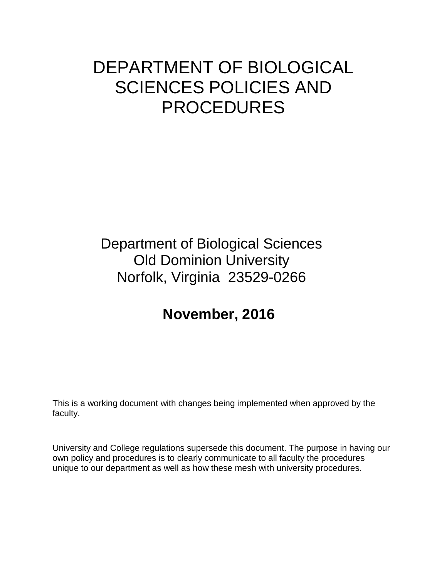# DEPARTMENT OF BIOLOGICAL SCIENCES POLICIES AND PROCEDURES

# Department of Biological Sciences Old Dominion University Norfolk, Virginia 23529-0266

# **November, 2016**

This is a working document with changes being implemented when approved by the faculty.

University and College regulations supersede this document. The purpose in having our own policy and procedures is to clearly communicate to all faculty the procedures unique to our department as well as how these mesh with university procedures.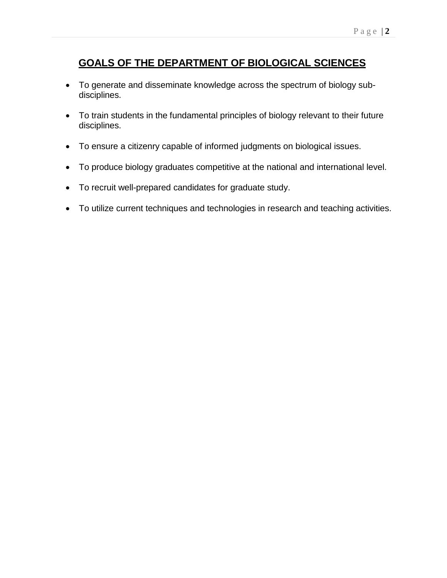# **GOALS OF THE DEPARTMENT OF BIOLOGICAL SCIENCES**

- To generate and disseminate knowledge across the spectrum of biology subdisciplines.
- To train students in the fundamental principles of biology relevant to their future disciplines.
- To ensure a citizenry capable of informed judgments on biological issues.
- To produce biology graduates competitive at the national and international level.
- To recruit well-prepared candidates for graduate study.
- To utilize current techniques and technologies in research and teaching activities.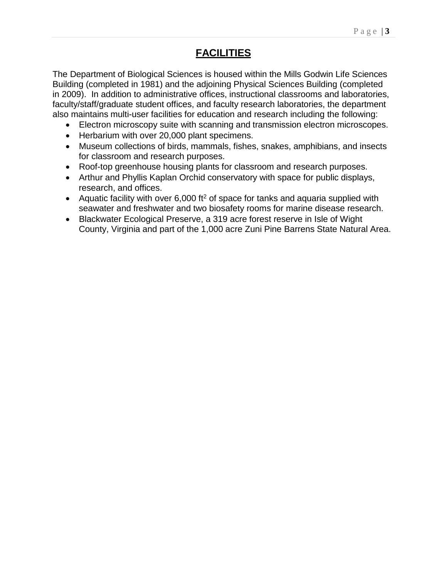# **FACILITIES**

The Department of Biological Sciences is housed within the Mills Godwin Life Sciences Building (completed in 1981) and the adjoining Physical Sciences Building (completed in 2009). In addition to administrative offices, instructional classrooms and laboratories, faculty/staff/graduate student offices, and faculty research laboratories, the department also maintains multi-user facilities for education and research including the following:

- Electron microscopy suite with scanning and transmission electron microscopes.
- Herbarium with over 20,000 plant specimens.
- Museum collections of birds, mammals, fishes, snakes, amphibians, and insects for classroom and research purposes.
- Roof-top greenhouse housing plants for classroom and research purposes.
- Arthur and Phyllis Kaplan Orchid conservatory with space for public displays, research, and offices.
- Aquatic facility with over 6,000 ft<sup>2</sup> of space for tanks and aquaria supplied with seawater and freshwater and two biosafety rooms for marine disease research.
- Blackwater Ecological Preserve, a 319 acre forest reserve in Isle of Wight County, Virginia and part of the 1,000 acre Zuni Pine Barrens State Natural Area.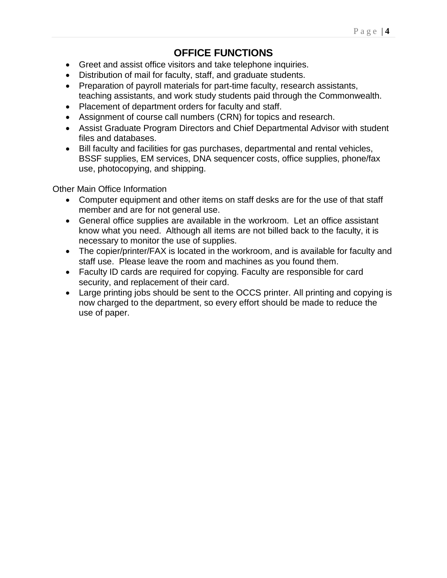# **OFFICE FUNCTIONS**

- Greet and assist office visitors and take telephone inquiries.
- Distribution of mail for faculty, staff, and graduate students.
- Preparation of payroll materials for part-time faculty, research assistants, teaching assistants, and work study students paid through the Commonwealth.
- Placement of department orders for faculty and staff.
- Assignment of course call numbers (CRN) for topics and research.
- Assist Graduate Program Directors and Chief Departmental Advisor with student files and databases.
- Bill faculty and facilities for gas purchases, departmental and rental vehicles, BSSF supplies, EM services, DNA sequencer costs, office supplies, phone/fax use, photocopying, and shipping.

Other Main Office Information

- Computer equipment and other items on staff desks are for the use of that staff member and are for not general use.
- General office supplies are available in the workroom. Let an office assistant know what you need. Although all items are not billed back to the faculty, it is necessary to monitor the use of supplies.
- The copier/printer/FAX is located in the workroom, and is available for faculty and staff use. Please leave the room and machines as you found them.
- Faculty ID cards are required for copying. Faculty are responsible for card security, and replacement of their card.
- Large printing jobs should be sent to the OCCS printer. All printing and copying is now charged to the department, so every effort should be made to reduce the use of paper.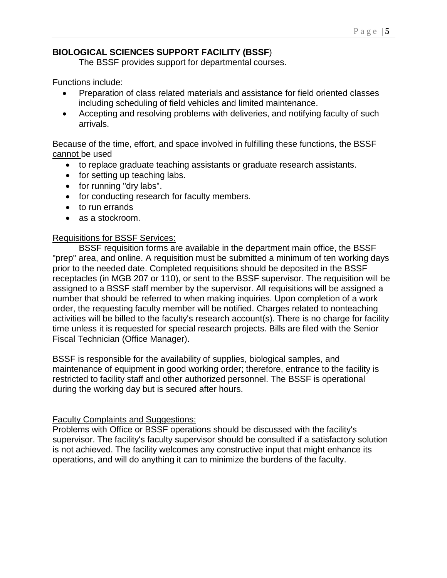# **BIOLOGICAL SCIENCES SUPPORT FACILITY (BSSF**)

The BSSF provides support for departmental courses.

Functions include:

- Preparation of class related materials and assistance for field oriented classes including scheduling of field vehicles and limited maintenance.
- Accepting and resolving problems with deliveries, and notifying faculty of such arrivals.

Because of the time, effort, and space involved in fulfilling these functions, the BSSF cannot be used

- to replace graduate teaching assistants or graduate research assistants.
- for setting up teaching labs.
- for running "dry labs".
- for conducting research for faculty members.
- to run errands
- as a stockroom.

# Requisitions for BSSF Services:

BSSF requisition forms are available in the department main office, the BSSF "prep" area, and online. A requisition must be submitted a minimum of ten working days prior to the needed date. Completed requisitions should be deposited in the BSSF receptacles (in MGB 207 or 110), or sent to the BSSF supervisor. The requisition will be assigned to a BSSF staff member by the supervisor. All requisitions will be assigned a number that should be referred to when making inquiries. Upon completion of a work order, the requesting faculty member will be notified. Charges related to nonteaching activities will be billed to the faculty's research account(s). There is no charge for facility time unless it is requested for special research projects. Bills are filed with the Senior Fiscal Technician (Office Manager).

BSSF is responsible for the availability of supplies, biological samples, and maintenance of equipment in good working order; therefore, entrance to the facility is restricted to facility staff and other authorized personnel. The BSSF is operational during the working day but is secured after hours.

# Faculty Complaints and Suggestions:

Problems with Office or BSSF operations should be discussed with the facility's supervisor. The facility's faculty supervisor should be consulted if a satisfactory solution is not achieved. The facility welcomes any constructive input that might enhance its operations, and will do anything it can to minimize the burdens of the faculty.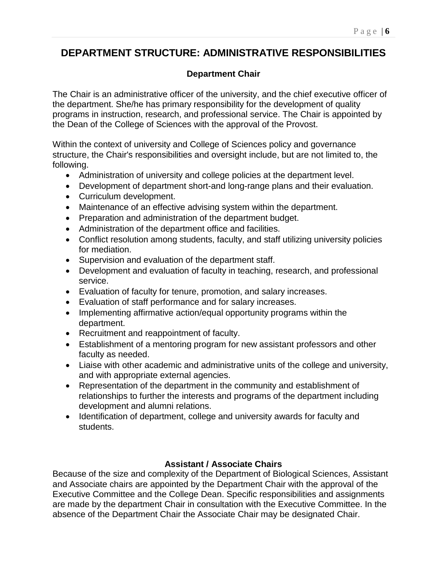# **DEPARTMENT STRUCTURE: ADMINISTRATIVE RESPONSIBILITIES**

# **Department Chair**

The Chair is an administrative officer of the university, and the chief executive officer of the department. She/he has primary responsibility for the development of quality programs in instruction, research, and professional service. The Chair is appointed by the Dean of the College of Sciences with the approval of the Provost.

Within the context of university and College of Sciences policy and governance structure, the Chair's responsibilities and oversight include, but are not limited to, the following.

- Administration of university and college policies at the department level.
- Development of department short-and long-range plans and their evaluation.
- Curriculum development.
- Maintenance of an effective advising system within the department.
- Preparation and administration of the department budget.
- Administration of the department office and facilities.
- Conflict resolution among students, faculty, and staff utilizing university policies for mediation.
- Supervision and evaluation of the department staff.
- Development and evaluation of faculty in teaching, research, and professional service.
- Evaluation of faculty for tenure, promotion, and salary increases.
- Evaluation of staff performance and for salary increases.
- Implementing affirmative action/equal opportunity programs within the department.
- Recruitment and reappointment of faculty.
- Establishment of a mentoring program for new assistant professors and other faculty as needed.
- Liaise with other academic and administrative units of the college and university, and with appropriate external agencies.
- Representation of the department in the community and establishment of relationships to further the interests and programs of the department including development and alumni relations.
- Identification of department, college and university awards for faculty and students.

# **Assistant / Associate Chairs**

Because of the size and complexity of the Department of Biological Sciences, Assistant and Associate chairs are appointed by the Department Chair with the approval of the Executive Committee and the College Dean. Specific responsibilities and assignments are made by the department Chair in consultation with the Executive Committee. In the absence of the Department Chair the Associate Chair may be designated Chair.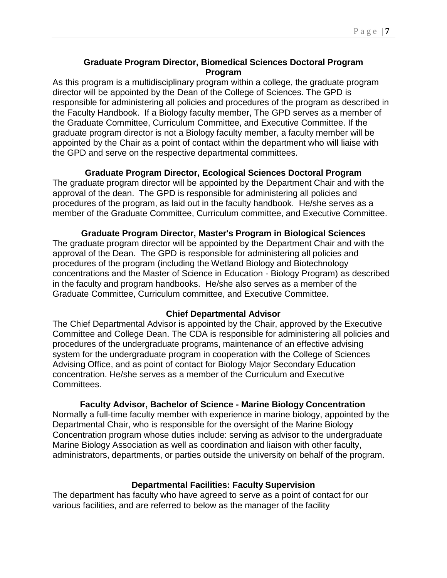# **Graduate Program Director, Biomedical Sciences Doctoral Program Program**

As this program is a multidisciplinary program within a college, the graduate program director will be appointed by the Dean of the College of Sciences. The GPD is responsible for administering all policies and procedures of the program as described in the Faculty Handbook. If a Biology faculty member, The GPD serves as a member of the Graduate Committee, Curriculum Committee, and Executive Committee. If the graduate program director is not a Biology faculty member, a faculty member will be appointed by the Chair as a point of contact within the department who will liaise with the GPD and serve on the respective departmental committees.

#### **Graduate Program Director, Ecological Sciences Doctoral Program**

The graduate program director will be appointed by the Department Chair and with the approval of the dean. The GPD is responsible for administering all policies and procedures of the program, as laid out in the faculty handbook. He/she serves as a member of the Graduate Committee, Curriculum committee, and Executive Committee.

#### **Graduate Program Director, Master's Program in Biological Sciences**

The graduate program director will be appointed by the Department Chair and with the approval of the Dean. The GPD is responsible for administering all policies and procedures of the program (including the Wetland Biology and Biotechnology concentrations and the Master of Science in Education - Biology Program) as described in the faculty and program handbooks. He/she also serves as a member of the Graduate Committee, Curriculum committee, and Executive Committee.

#### **Chief Departmental Advisor**

The Chief Departmental Advisor is appointed by the Chair, approved by the Executive Committee and College Dean. The CDA is responsible for administering all policies and procedures of the undergraduate programs, maintenance of an effective advising system for the undergraduate program in cooperation with the College of Sciences Advising Office, and as point of contact for Biology Major Secondary Education concentration. He/she serves as a member of the Curriculum and Executive Committees.

#### **Faculty Advisor, Bachelor of Science - Marine Biology Concentration**

Normally a full-time faculty member with experience in marine biology, appointed by the Departmental Chair, who is responsible for the oversight of the Marine Biology Concentration program whose duties include: serving as advisor to the undergraduate Marine Biology Association as well as coordination and liaison with other faculty, administrators, departments, or parties outside the university on behalf of the program.

# **Departmental Facilities: Faculty Supervision**

The department has faculty who have agreed to serve as a point of contact for our various facilities, and are referred to below as the manager of the facility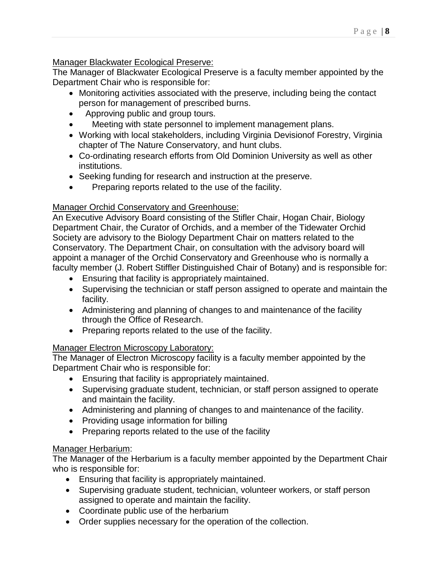# Manager Blackwater Ecological Preserve:

The Manager of Blackwater Ecological Preserve is a faculty member appointed by the Department Chair who is responsible for:

- Monitoring activities associated with the preserve, including being the contact person for management of prescribed burns.
- Approving public and group tours.
- Meeting with state personnel to implement management plans.
- Working with local stakeholders, including Virginia Devisionof Forestry, Virginia chapter of The Nature Conservatory, and hunt clubs.
- Co-ordinating research efforts from Old Dominion University as well as other institutions.
- Seeking funding for research and instruction at the preserve.
- Preparing reports related to the use of the facility.

# Manager Orchid Conservatory and Greenhouse:

An Executive Advisory Board consisting of the Stifler Chair, Hogan Chair, Biology Department Chair, the Curator of Orchids, and a member of the Tidewater Orchid Society are advisory to the Biology Department Chair on matters related to the Conservatory. The Department Chair, on consultation with the advisory board will appoint a manager of the Orchid Conservatory and Greenhouse who is normally a faculty member (J. Robert Stiffler Distinguished Chair of Botany) and is responsible for:

- Ensuring that facility is appropriately maintained.
- Supervising the technician or staff person assigned to operate and maintain the facility.
- Administering and planning of changes to and maintenance of the facility through the Office of Research.
- Preparing reports related to the use of the facility.

# Manager Electron Microscopy Laboratory:

The Manager of Electron Microscopy facility is a faculty member appointed by the Department Chair who is responsible for:

- Ensuring that facility is appropriately maintained.
- Supervising graduate student, technician, or staff person assigned to operate and maintain the facility.
- Administering and planning of changes to and maintenance of the facility.
- Providing usage information for billing
- Preparing reports related to the use of the facility

# Manager Herbarium:

The Manager of the Herbarium is a faculty member appointed by the Department Chair who is responsible for:

- Ensuring that facility is appropriately maintained.
- Supervising graduate student, technician, volunteer workers, or staff person assigned to operate and maintain the facility.
- Coordinate public use of the herbarium
- Order supplies necessary for the operation of the collection.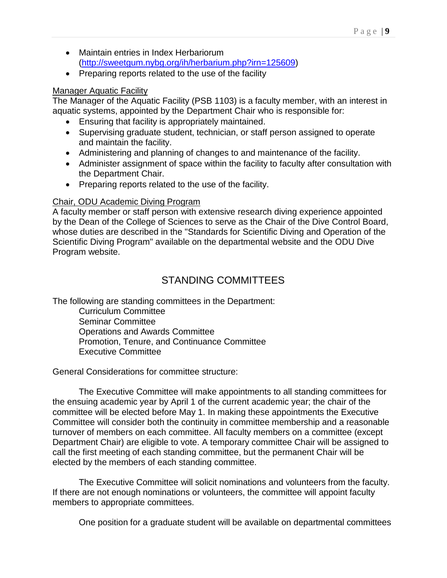- Maintain entries in Index Herbariorum [\(http://sweetgum.nybg.org/ih/herbarium.php?irn=125609\)](http://sweetgum.nybg.org/ih/herbarium.php?irn=125609)
- Preparing reports related to the use of the facility

# Manager Aquatic Facility

The Manager of the Aquatic Facility (PSB 1103) is a faculty member, with an interest in aquatic systems, appointed by the Department Chair who is responsible for:

- Ensuring that facility is appropriately maintained.
- Supervising graduate student, technician, or staff person assigned to operate and maintain the facility.
- Administering and planning of changes to and maintenance of the facility.
- Administer assignment of space within the facility to faculty after consultation with the Department Chair.
- Preparing reports related to the use of the facility.

# Chair, ODU Academic Diving Program

A faculty member or staff person with extensive research diving experience appointed by the Dean of the College of Sciences to serve as the Chair of the Dive Control Board, whose duties are described in the "Standards for Scientific Diving and Operation of the Scientific Diving Program" available on the departmental website and the ODU Dive Program website.

# STANDING COMMITTEES

The following are standing committees in the Department:

Curriculum Committee Seminar Committee Operations and Awards Committee Promotion, Tenure, and Continuance Committee Executive Committee

General Considerations for committee structure:

The Executive Committee will make appointments to all standing committees for the ensuing academic year by April 1 of the current academic year; the chair of the committee will be elected before May 1. In making these appointments the Executive Committee will consider both the continuity in committee membership and a reasonable turnover of members on each committee. All faculty members on a committee (except Department Chair) are eligible to vote. A temporary committee Chair will be assigned to call the first meeting of each standing committee, but the permanent Chair will be elected by the members of each standing committee.

The Executive Committee will solicit nominations and volunteers from the faculty. If there are not enough nominations or volunteers, the committee will appoint faculty members to appropriate committees.

One position for a graduate student will be available on departmental committees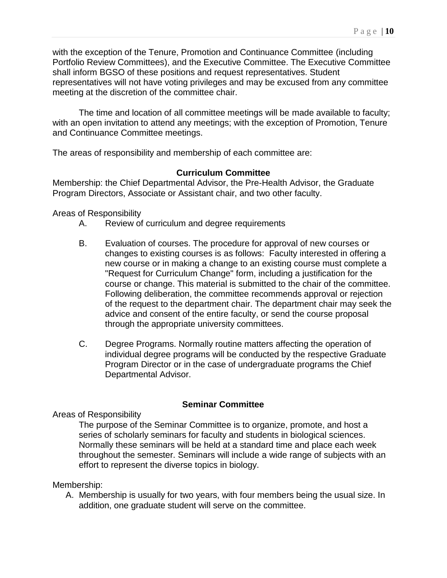with the exception of the Tenure, Promotion and Continuance Committee (including Portfolio Review Committees), and the Executive Committee. The Executive Committee shall inform BGSO of these positions and request representatives. Student representatives will not have voting privileges and may be excused from any committee meeting at the discretion of the committee chair.

The time and location of all committee meetings will be made available to faculty; with an open invitation to attend any meetings; with the exception of Promotion, Tenure and Continuance Committee meetings.

The areas of responsibility and membership of each committee are:

# **Curriculum Committee**

Membership: the Chief Departmental Advisor, the Pre-Health Advisor, the Graduate Program Directors, Associate or Assistant chair, and two other faculty.

Areas of Responsibility

- A. Review of curriculum and degree requirements
- B. Evaluation of courses. The procedure for approval of new courses or changes to existing courses is as follows: Faculty interested in offering a new course or in making a change to an existing course must complete a "Request for Curriculum Change" form, including a justification for the course or change. This material is submitted to the chair of the committee. Following deliberation, the committee recommends approval or rejection of the request to the department chair. The department chair may seek the advice and consent of the entire faculty, or send the course proposal through the appropriate university committees.
- C. Degree Programs. Normally routine matters affecting the operation of individual degree programs will be conducted by the respective Graduate Program Director or in the case of undergraduate programs the Chief Departmental Advisor.

#### **Seminar Committee**

Areas of Responsibility

The purpose of the Seminar Committee is to organize, promote, and host a series of scholarly seminars for faculty and students in biological sciences. Normally these seminars will be held at a standard time and place each week throughout the semester. Seminars will include a wide range of subjects with an effort to represent the diverse topics in biology.

Membership:

A. Membership is usually for two years, with four members being the usual size. In addition, one graduate student will serve on the committee.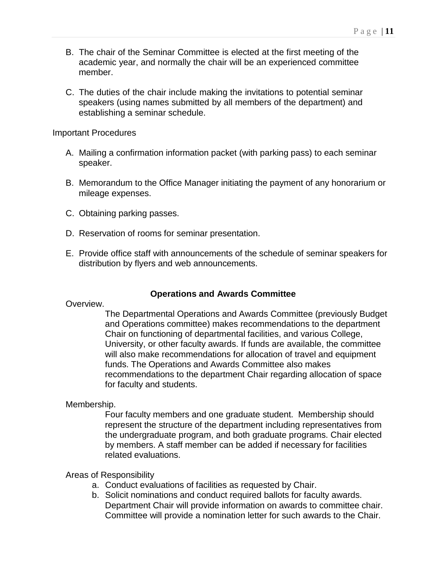- B. The chair of the Seminar Committee is elected at the first meeting of the academic year, and normally the chair will be an experienced committee member.
- C. The duties of the chair include making the invitations to potential seminar speakers (using names submitted by all members of the department) and establishing a seminar schedule.

Important Procedures

- A. Mailing a confirmation information packet (with parking pass) to each seminar speaker.
- B. Memorandum to the Office Manager initiating the payment of any honorarium or mileage expenses.
- C. Obtaining parking passes.
- D. Reservation of rooms for seminar presentation.
- E. Provide office staff with announcements of the schedule of seminar speakers for distribution by flyers and web announcements.

# **Operations and Awards Committee**

Overview.

The Departmental Operations and Awards Committee (previously Budget and Operations committee) makes recommendations to the department Chair on functioning of departmental facilities, and various College, University, or other faculty awards. If funds are available, the committee will also make recommendations for allocation of travel and equipment funds. The Operations and Awards Committee also makes recommendations to the department Chair regarding allocation of space for faculty and students.

Membership.

Four faculty members and one graduate student. Membership should represent the structure of the department including representatives from the undergraduate program, and both graduate programs. Chair elected by members. A staff member can be added if necessary for facilities related evaluations.

Areas of Responsibility

- a. Conduct evaluations of facilities as requested by Chair.
- b. Solicit nominations and conduct required ballots for faculty awards. Department Chair will provide information on awards to committee chair. Committee will provide a nomination letter for such awards to the Chair.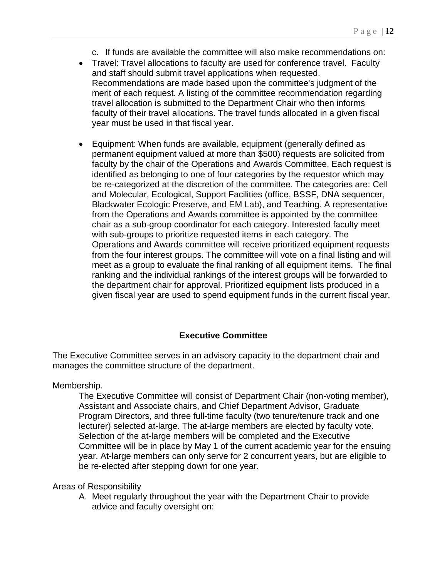- c. If funds are available the committee will also make recommendations on:
- Travel: Travel allocations to faculty are used for conference travel. Faculty and staff should submit travel applications when requested. Recommendations are made based upon the committee's judgment of the merit of each request. A listing of the committee recommendation regarding travel allocation is submitted to the Department Chair who then informs faculty of their travel allocations. The travel funds allocated in a given fiscal year must be used in that fiscal year.
- Equipment: When funds are available, equipment (generally defined as permanent equipment valued at more than \$500) requests are solicited from faculty by the chair of the Operations and Awards Committee. Each request is identified as belonging to one of four categories by the requestor which may be re-categorized at the discretion of the committee. The categories are: Cell and Molecular, Ecological, Support Facilities (office, BSSF, DNA sequencer, Blackwater Ecologic Preserve, and EM Lab), and Teaching. A representative from the Operations and Awards committee is appointed by the committee chair as a sub-group coordinator for each category. Interested faculty meet with sub-groups to prioritize requested items in each category. The Operations and Awards committee will receive prioritized equipment requests from the four interest groups. The committee will vote on a final listing and will meet as a group to evaluate the final ranking of all equipment items. The final ranking and the individual rankings of the interest groups will be forwarded to the department chair for approval. Prioritized equipment lists produced in a given fiscal year are used to spend equipment funds in the current fiscal year.

# **Executive Committee**

The Executive Committee serves in an advisory capacity to the department chair and manages the committee structure of the department.

#### Membership.

The Executive Committee will consist of Department Chair (non-voting member), Assistant and Associate chairs, and Chief Department Advisor, Graduate Program Directors, and three full-time faculty (two tenure/tenure track and one lecturer) selected at-large. The at-large members are elected by faculty vote. Selection of the at-large members will be completed and the Executive Committee will be in place by May 1 of the current academic year for the ensuing year. At-large members can only serve for 2 concurrent years, but are eligible to be re-elected after stepping down for one year.

Areas of Responsibility

A. Meet regularly throughout the year with the Department Chair to provide advice and faculty oversight on: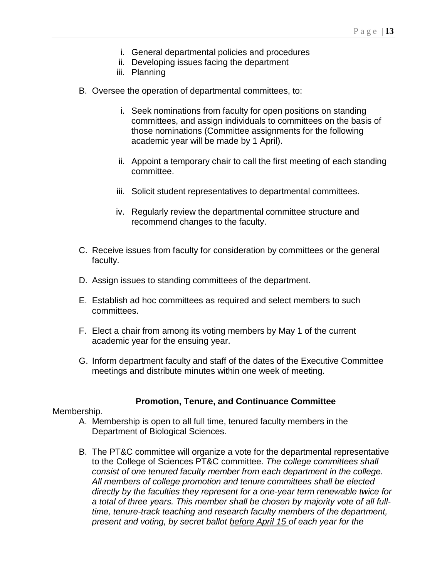- i. General departmental policies and procedures
- ii. Developing issues facing the department
- iii. Planning
- B. Oversee the operation of departmental committees, to:
	- i. Seek nominations from faculty for open positions on standing committees, and assign individuals to committees on the basis of those nominations (Committee assignments for the following academic year will be made by 1 April).
	- ii. Appoint a temporary chair to call the first meeting of each standing committee.
	- iii. Solicit student representatives to departmental committees.
	- iv. Regularly review the departmental committee structure and recommend changes to the faculty.
- C. Receive issues from faculty for consideration by committees or the general faculty.
- D. Assign issues to standing committees of the department.
- E. Establish ad hoc committees as required and select members to such committees.
- F. Elect a chair from among its voting members by May 1 of the current academic year for the ensuing year.
- G. Inform department faculty and staff of the dates of the Executive Committee meetings and distribute minutes within one week of meeting.

# **Promotion, Tenure, and Continuance Committee**

#### Membership.

- A. Membership is open to all full time, tenured faculty members in the Department of Biological Sciences.
- B. The PT&C committee will organize a vote for the departmental representative to the College of Sciences PT&C committee. *The college committees shall consist of one tenured faculty member from each department in the college. All members of college promotion and tenure committees shall be elected directly by the faculties they represent for a one-year term renewable twice for a total of three years. This member shall be chosen by majority vote of all fulltime, tenure-track teaching and research faculty members of the department, present and voting, by secret ballot before April 15 of each year for the*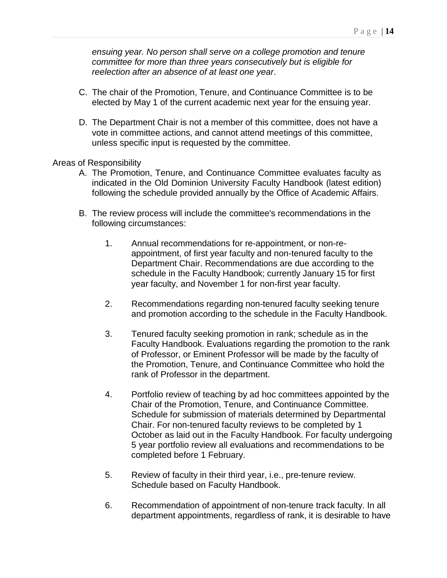*ensuing year. No person shall serve on a college promotion and tenure committee for more than three years consecutively but is eligible for reelection after an absence of at least one year*.

- C. The chair of the Promotion, Tenure, and Continuance Committee is to be elected by May 1 of the current academic next year for the ensuing year.
- D. The Department Chair is not a member of this committee, does not have a vote in committee actions, and cannot attend meetings of this committee, unless specific input is requested by the committee.

Areas of Responsibility

- A. The Promotion, Tenure, and Continuance Committee evaluates faculty as indicated in the Old Dominion University Faculty Handbook (latest edition) following the schedule provided annually by the Office of Academic Affairs.
- B. The review process will include the committee's recommendations in the following circumstances:
	- 1. Annual recommendations for re-appointment, or non-reappointment, of first year faculty and non-tenured faculty to the Department Chair. Recommendations are due according to the schedule in the Faculty Handbook; currently January 15 for first year faculty, and November 1 for non-first year faculty.
	- 2. Recommendations regarding non-tenured faculty seeking tenure and promotion according to the schedule in the Faculty Handbook.
	- 3. Tenured faculty seeking promotion in rank; schedule as in the Faculty Handbook. Evaluations regarding the promotion to the rank of Professor, or Eminent Professor will be made by the faculty of the Promotion, Tenure, and Continuance Committee who hold the rank of Professor in the department.
	- 4. Portfolio review of teaching by ad hoc committees appointed by the Chair of the Promotion, Tenure, and Continuance Committee. Schedule for submission of materials determined by Departmental Chair. For non-tenured faculty reviews to be completed by 1 October as laid out in the Faculty Handbook. For faculty undergoing 5 year portfolio review all evaluations and recommendations to be completed before 1 February.
	- 5. Review of faculty in their third year, i.e., pre-tenure review. Schedule based on Faculty Handbook.
	- 6. Recommendation of appointment of non-tenure track faculty. In all department appointments, regardless of rank, it is desirable to have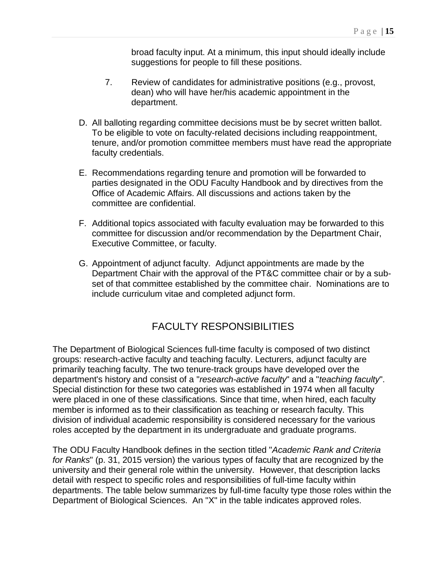broad faculty input. At a minimum, this input should ideally include suggestions for people to fill these positions.

- 7. Review of candidates for administrative positions (e.g., provost, dean) who will have her/his academic appointment in the department.
- D. All balloting regarding committee decisions must be by secret written ballot. To be eligible to vote on faculty-related decisions including reappointment, tenure, and/or promotion committee members must have read the appropriate faculty credentials.
- E. Recommendations regarding tenure and promotion will be forwarded to parties designated in the ODU Faculty Handbook and by directives from the Office of Academic Affairs. All discussions and actions taken by the committee are confidential.
- F. Additional topics associated with faculty evaluation may be forwarded to this committee for discussion and/or recommendation by the Department Chair, Executive Committee, or faculty.
- G. Appointment of adjunct faculty. Adjunct appointments are made by the Department Chair with the approval of the PT&C committee chair or by a subset of that committee established by the committee chair. Nominations are to include curriculum vitae and completed adjunct form.

# FACULTY RESPONSIBILITIES

The Department of Biological Sciences full-time faculty is composed of two distinct groups: research-active faculty and teaching faculty. Lecturers, adjunct faculty are primarily teaching faculty. The two tenure-track groups have developed over the department's history and consist of a "*research-active faculty*" and a "*teaching faculty*". Special distinction for these two categories was established in 1974 when all faculty were placed in one of these classifications. Since that time, when hired, each faculty member is informed as to their classification as teaching or research faculty. This division of individual academic responsibility is considered necessary for the various roles accepted by the department in its undergraduate and graduate programs.

The ODU Faculty Handbook defines in the section titled "*Academic Rank and Criteria for Ranks*" (p. 31, 2015 version) the various types of faculty that are recognized by the university and their general role within the university. However, that description lacks detail with respect to specific roles and responsibilities of full-time faculty within departments. The table below summarizes by full-time faculty type those roles within the Department of Biological Sciences. An "X" in the table indicates approved roles.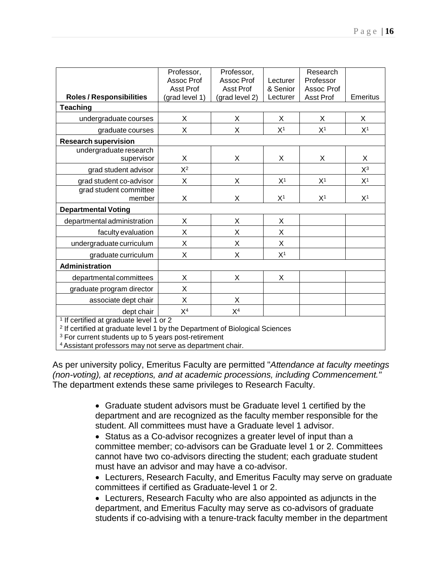|                                                                                                                                                                                                                                                                          | Professor,<br>Assoc Prof    | Professor,<br>Assoc Prof           | Lecturer             | Research<br>Professor   |                |
|--------------------------------------------------------------------------------------------------------------------------------------------------------------------------------------------------------------------------------------------------------------------------|-----------------------------|------------------------------------|----------------------|-------------------------|----------------|
| <b>Roles / Responsibilities</b>                                                                                                                                                                                                                                          | Asst Prof<br>(grad level 1) | <b>Asst Prof</b><br>(grad level 2) | & Senior<br>Lecturer | Assoc Prof<br>Asst Prof | Emeritus       |
| <b>Teaching</b>                                                                                                                                                                                                                                                          |                             |                                    |                      |                         |                |
| undergraduate courses                                                                                                                                                                                                                                                    | X                           | X                                  | X                    | X                       | X              |
| graduate courses                                                                                                                                                                                                                                                         | X                           | X                                  | X <sup>1</sup>       | X <sup>1</sup>          | X <sup>1</sup> |
| <b>Research supervision</b>                                                                                                                                                                                                                                              |                             |                                    |                      |                         |                |
| undergraduate research<br>supervisor                                                                                                                                                                                                                                     | X                           | X                                  | X                    | X                       | X              |
| grad student advisor                                                                                                                                                                                                                                                     | $X^2$                       |                                    |                      |                         | $X^3$          |
| grad student co-advisor                                                                                                                                                                                                                                                  | X                           | $\overline{X}$                     | X <sup>1</sup>       | X <sup>1</sup>          | X <sup>1</sup> |
| grad student committee<br>member                                                                                                                                                                                                                                         | X                           | X                                  | X <sup>1</sup>       | X <sup>1</sup>          | X <sup>1</sup> |
| <b>Departmental Voting</b>                                                                                                                                                                                                                                               |                             |                                    |                      |                         |                |
| departmental administration                                                                                                                                                                                                                                              | X                           | X                                  | X                    |                         |                |
| faculty evaluation                                                                                                                                                                                                                                                       | X                           | X                                  | X                    |                         |                |
| undergraduate curriculum                                                                                                                                                                                                                                                 | X                           | X                                  | X                    |                         |                |
| graduate curriculum                                                                                                                                                                                                                                                      | X                           | X                                  | X <sup>1</sup>       |                         |                |
| <b>Administration</b>                                                                                                                                                                                                                                                    |                             |                                    |                      |                         |                |
| departmental committees                                                                                                                                                                                                                                                  | X                           | X                                  | X                    |                         |                |
| graduate program director                                                                                                                                                                                                                                                | X                           |                                    |                      |                         |                |
| associate dept chair                                                                                                                                                                                                                                                     | X                           | X                                  |                      |                         |                |
| dept chair                                                                                                                                                                                                                                                               | X <sup>4</sup>              | X <sup>4</sup>                     |                      |                         |                |
| <sup>1</sup> If certified at graduate level 1 or 2<br><sup>2</sup> If certified at graduate level 1 by the Department of Biological Sciences<br><sup>3</sup> For current students up to 5 years post-retirement<br>المتلاب بالمراجع<br>المستحل المتماسية متساهد المتحددة |                             |                                    |                      |                         |                |

4Assistant professors may not serve as department chair.

As per university policy, Emeritus Faculty are permitted "*Attendance at faculty meetings (non-voting), at receptions, and at academic processions, including Commencement."* The department extends these same privileges to Research Faculty.

> • Graduate student advisors must be Graduate level 1 certified by the department and are recognized as the faculty member responsible for the student. All committees must have a Graduate level 1 advisor.

• Status as a Co-advisor recognizes a greater level of input than a committee member; co-advisors can be Graduate level 1 or 2. Committees cannot have two co-advisors directing the student; each graduate student must have an advisor and may have a co-advisor.

• Lecturers, Research Faculty, and Emeritus Faculty may serve on graduate committees if certified as Graduate-level 1 or 2.

• Lecturers, Research Faculty who are also appointed as adjuncts in the department, and Emeritus Faculty may serve as co-advisors of graduate students if co-advising with a tenure-track faculty member in the department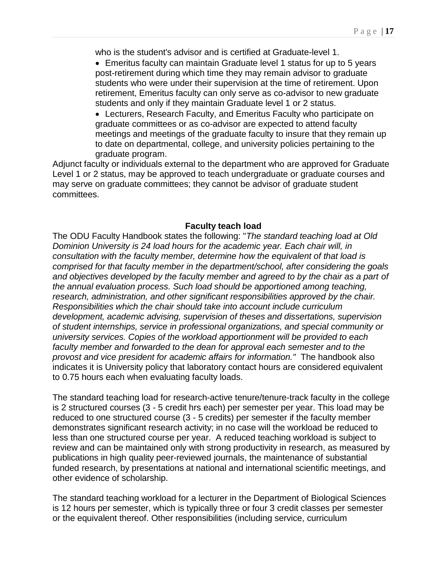who is the student's advisor and is certified at Graduate-level 1.

- Emeritus faculty can maintain Graduate level 1 status for up to 5 years post-retirement during which time they may remain advisor to graduate students who were under their supervision at the time of retirement. Upon retirement, Emeritus faculty can only serve as co-advisor to new graduate students and only if they maintain Graduate level 1 or 2 status.
- Lecturers, Research Faculty, and Emeritus Faculty who participate on graduate committees or as co-advisor are expected to attend faculty meetings and meetings of the graduate faculty to insure that they remain up to date on departmental, college, and university policies pertaining to the graduate program.

Adjunct faculty or individuals external to the department who are approved for Graduate Level 1 or 2 status, may be approved to teach undergraduate or graduate courses and may serve on graduate committees; they cannot be advisor of graduate student committees.

#### **Faculty teach load**

The ODU Faculty Handbook states the following: "*The standard teaching load at Old Dominion University is 24 load hours for the academic year. Each chair will, in consultation with the faculty member, determine how the equivalent of that load is comprised for that faculty member in the department/school, after considering the goals and objectives developed by the faculty member and agreed to by the chair as a part of the annual evaluation process. Such load should be apportioned among teaching, research, administration, and other significant responsibilities approved by the chair. Responsibilities which the chair should take into account include curriculum development, academic advising, supervision of theses and dissertations, supervision of student internships, service in professional organizations, and special community or university services. Copies of the workload apportionment will be provided to each faculty member and forwarded to the dean for approval each semester and to the provost and vice president for academic affairs for information."* The handbook also indicates it is University policy that laboratory contact hours are considered equivalent to 0.75 hours each when evaluating faculty loads.

The standard teaching load for research-active tenure/tenure-track faculty in the college is 2 structured courses (3 - 5 credit hrs each) per semester per year. This load may be reduced to one structured course (3 - 5 credits) per semester if the faculty member demonstrates significant research activity; in no case will the workload be reduced to less than one structured course per year. A reduced teaching workload is subject to review and can be maintained only with strong productivity in research, as measured by publications in high quality peer-reviewed journals, the maintenance of substantial funded research, by presentations at national and international scientific meetings, and other evidence of scholarship.

The standard teaching workload for a lecturer in the Department of Biological Sciences is 12 hours per semester, which is typically three or four 3 credit classes per semester or the equivalent thereof. Other responsibilities (including service, curriculum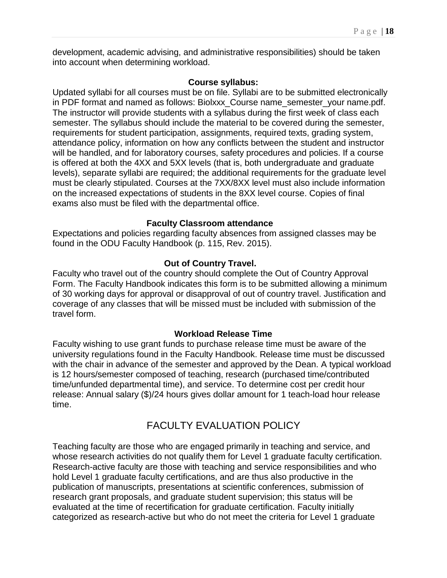development, academic advising, and administrative responsibilities) should be taken into account when determining workload.

#### **Course syllabus:**

Updated syllabi for all courses must be on file. Syllabi are to be submitted electronically in PDF format and named as follows: Biolxxx\_Course name\_semester\_your name.pdf. The instructor will provide students with a syllabus during the first week of class each semester. The syllabus should include the material to be covered during the semester, requirements for student participation, assignments, required texts, grading system, attendance policy, information on how any conflicts between the student and instructor will be handled, and for laboratory courses, safety procedures and policies. If a course is offered at both the 4XX and 5XX levels (that is, both undergraduate and graduate levels), separate syllabi are required; the additional requirements for the graduate level must be clearly stipulated. Courses at the 7XX/8XX level must also include information on the increased expectations of students in the 8XX level course. Copies of final exams also must be filed with the departmental office.

# **Faculty Classroom attendance**

Expectations and policies regarding faculty absences from assigned classes may be found in the ODU Faculty Handbook (p. 115, Rev. 2015).

# **Out of Country Travel.**

Faculty who travel out of the country should complete the Out of Country Approval Form. The Faculty Handbook indicates this form is to be submitted allowing a minimum of 30 working days for approval or disapproval of out of country travel. Justification and coverage of any classes that will be missed must be included with submission of the travel form.

# **Workload Release Time**

Faculty wishing to use grant funds to purchase release time must be aware of the university regulations found in the Faculty Handbook. Release time must be discussed with the chair in advance of the semester and approved by the Dean. A typical workload is 12 hours/semester composed of teaching, research (purchased time/contributed time/unfunded departmental time), and service. To determine cost per credit hour release: Annual salary (\$)/24 hours gives dollar amount for 1 teach-load hour release time.

# FACULTY EVALUATION POLICY

Teaching faculty are those who are engaged primarily in teaching and service, and whose research activities do not qualify them for Level 1 graduate faculty certification. Research-active faculty are those with teaching and service responsibilities and who hold Level 1 graduate faculty certifications, and are thus also productive in the publication of manuscripts, presentations at scientific conferences, submission of research grant proposals, and graduate student supervision; this status will be evaluated at the time of recertification for graduate certification. Faculty initially categorized as research-active but who do not meet the criteria for Level 1 graduate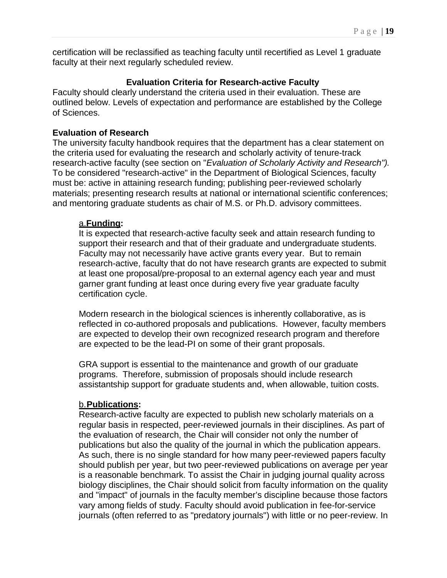certification will be reclassified as teaching faculty until recertified as Level 1 graduate faculty at their next regularly scheduled review.

# **Evaluation Criteria for Research-active Faculty**

Faculty should clearly understand the criteria used in their evaluation. These are outlined below. Levels of expectation and performance are established by the College of Sciences.

#### **Evaluation of Research**

The university faculty handbook requires that the department has a clear statement on the criteria used for evaluating the research and scholarly activity of tenure-track research-active faculty (see section on "*Evaluation of Scholarly Activity and Research").* To be considered "research-active" in the Department of Biological Sciences, faculty must be: active in attaining research funding; publishing peer-reviewed scholarly materials; presenting research results at national or international scientific conferences; and mentoring graduate students as chair of M.S. or Ph.D. advisory committees.

#### a.**Funding:**

It is expected that research-active faculty seek and attain research funding to support their research and that of their graduate and undergraduate students. Faculty may not necessarily have active grants every year. But to remain research-active, faculty that do not have research grants are expected to submit at least one proposal/pre-proposal to an external agency each year and must garner grant funding at least once during every five year graduate faculty certification cycle.

Modern research in the biological sciences is inherently collaborative, as is reflected in co-authored proposals and publications. However, faculty members are expected to develop their own recognized research program and therefore are expected to be the lead-PI on some of their grant proposals.

GRA support is essential to the maintenance and growth of our graduate programs. Therefore, submission of proposals should include research assistantship support for graduate students and, when allowable, tuition costs.

# b.**Publications:**

Research-active faculty are expected to publish new scholarly materials on a regular basis in respected, peer-reviewed journals in their disciplines. As part of the evaluation of research, the Chair will consider not only the number of publications but also the quality of the journal in which the publication appears. As such, there is no single standard for how many peer-reviewed papers faculty should publish per year, but two peer-reviewed publications on average per year is a reasonable benchmark. To assist the Chair in judging journal quality across biology disciplines, the Chair should solicit from faculty information on the quality and "impact" of journals in the faculty member's discipline because those factors vary among fields of study. Faculty should avoid publication in fee-for-service journals (often referred to as "predatory journals") with little or no peer-review. In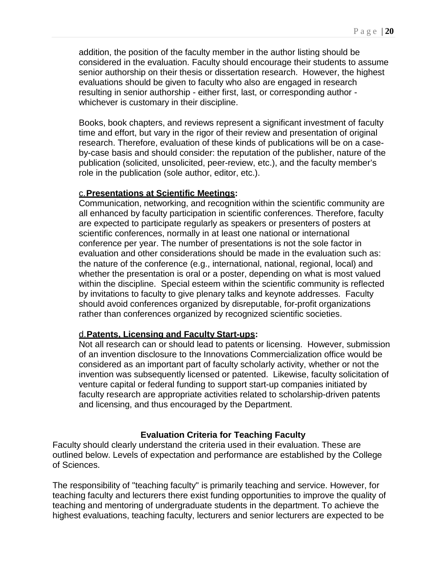addition, the position of the faculty member in the author listing should be considered in the evaluation. Faculty should encourage their students to assume senior authorship on their thesis or dissertation research. However, the highest evaluations should be given to faculty who also are engaged in research resulting in senior authorship - either first, last, or corresponding author whichever is customary in their discipline.

Books, book chapters, and reviews represent a significant investment of faculty time and effort, but vary in the rigor of their review and presentation of original research. Therefore, evaluation of these kinds of publications will be on a caseby-case basis and should consider: the reputation of the publisher, nature of the publication (solicited, unsolicited, peer-review, etc.), and the faculty member's role in the publication (sole author, editor, etc.).

#### c.**Presentations at Scientific Meetings:**

Communication, networking, and recognition within the scientific community are all enhanced by faculty participation in scientific conferences. Therefore, faculty are expected to participate regularly as speakers or presenters of posters at scientific conferences, normally in at least one national or international conference per year. The number of presentations is not the sole factor in evaluation and other considerations should be made in the evaluation such as: the nature of the conference (e.g., international, national, regional, local) and whether the presentation is oral or a poster, depending on what is most valued within the discipline. Special esteem within the scientific community is reflected by invitations to faculty to give plenary talks and keynote addresses. Faculty should avoid conferences organized by disreputable, for-profit organizations rather than conferences organized by recognized scientific societies.

#### d.**Patents, Licensing and Faculty Start-ups:**

Not all research can or should lead to patents or licensing. However, submission of an invention disclosure to the Innovations Commercialization office would be considered as an important part of faculty scholarly activity, whether or not the invention was subsequently licensed or patented. Likewise, faculty solicitation of venture capital or federal funding to support start-up companies initiated by faculty research are appropriate activities related to scholarship-driven patents and licensing, and thus encouraged by the Department.

#### **Evaluation Criteria for Teaching Faculty**

Faculty should clearly understand the criteria used in their evaluation. These are outlined below. Levels of expectation and performance are established by the College of Sciences.

The responsibility of "teaching faculty" is primarily teaching and service. However, for teaching faculty and lecturers there exist funding opportunities to improve the quality of teaching and mentoring of undergraduate students in the department. To achieve the highest evaluations, teaching faculty, lecturers and senior lecturers are expected to be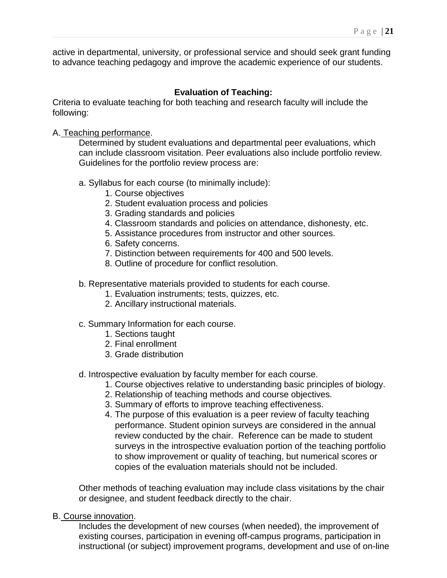active in departmental, university, or professional service and should seek grant funding to advance teaching pedagogy and improve the academic experience of our students.

# **Evaluation of Teaching:**

Criteria to evaluate teaching for both teaching and research faculty will include the following:

#### A. Teaching performance.

Determined by student evaluations and departmental peer evaluations, which can include classroom visitation. Peer evaluations also include portfolio review. Guidelines for the portfolio review process are:

#### a. Syllabus for each course (to minimally include):

- 1. Course objectives
- 2. Student evaluation process and policies
- 3. Grading standards and policies
- 4. Classroom standards and policies on attendance, dishonesty, etc.
- 5. Assistance procedures from instructor and other sources.
- 6. Safety concerns.
- 7. Distinction between requirements for 400 and 500 levels.
- 8. Outline of procedure for conflict resolution.
- b. Representative materials provided to students for each course.
	- 1. Evaluation instruments; tests, quizzes, etc.
	- 2. Ancillary instructional materials.

# c. Summary Information for each course.

- 1. Sections taught
- 2. Final enrollment
- 3. Grade distribution
- d. Introspective evaluation by faculty member for each course.
	- 1. Course objectives relative to understanding basic principles of biology.
	- 2. Relationship of teaching methods and course objectives.
	- 3. Summary of efforts to improve teaching effectiveness.
	- 4. The purpose of this evaluation is a peer review of faculty teaching performance. Student opinion surveys are considered in the annual review conducted by the chair. Reference can be made to student surveys in the introspective evaluation portion of the teaching portfolio to show improvement or quality of teaching, but numerical scores or copies of the evaluation materials should not be included.

Other methods of teaching evaluation may include class visitations by the chair or designee, and student feedback directly to the chair.

#### B. Course innovation.

Includes the development of new courses (when needed), the improvement of existing courses, participation in evening off-campus programs, participation in instructional (or subject) improvement programs, development and use of on-line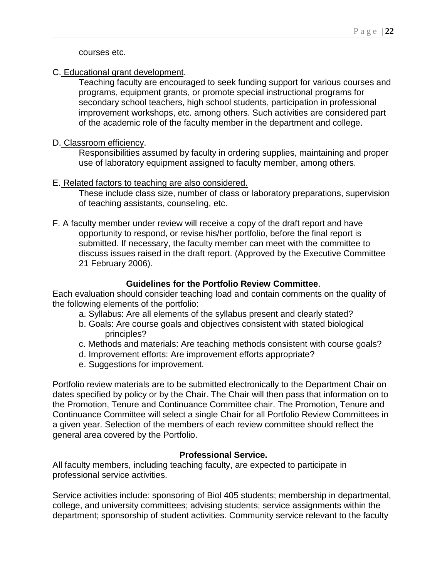courses etc.

C. Educational grant development.

Teaching faculty are encouraged to seek funding support for various courses and programs, equipment grants, or promote special instructional programs for secondary school teachers, high school students, participation in professional improvement workshops, etc. among others. Such activities are considered part of the academic role of the faculty member in the department and college.

D. Classroom efficiency.

Responsibilities assumed by faculty in ordering supplies, maintaining and proper use of laboratory equipment assigned to faculty member, among others.

#### E. Related factors to teaching are also considered.

These include class size, number of class or laboratory preparations, supervision of teaching assistants, counseling, etc.

F. A faculty member under review will receive a copy of the draft report and have opportunity to respond, or revise his/her portfolio, before the final report is submitted. If necessary, the faculty member can meet with the committee to discuss issues raised in the draft report. (Approved by the Executive Committee 21 February 2006).

#### **Guidelines for the Portfolio Review Committee**.

Each evaluation should consider teaching load and contain comments on the quality of the following elements of the portfolio:

- a. Syllabus: Are all elements of the syllabus present and clearly stated?
- b. Goals: Are course goals and objectives consistent with stated biological principles?
- c. Methods and materials: Are teaching methods consistent with course goals?
- d. Improvement efforts: Are improvement efforts appropriate?
- e. Suggestions for improvement.

Portfolio review materials are to be submitted electronically to the Department Chair on dates specified by policy or by the Chair. The Chair will then pass that information on to the Promotion, Tenure and Continuance Committee chair. The Promotion, Tenure and Continuance Committee will select a single Chair for all Portfolio Review Committees in a given year. Selection of the members of each review committee should reflect the general area covered by the Portfolio.

# **Professional Service.**

All faculty members, including teaching faculty, are expected to participate in professional service activities.

Service activities include: sponsoring of Biol 405 students; membership in departmental, college, and university committees; advising students; service assignments within the department; sponsorship of student activities. Community service relevant to the faculty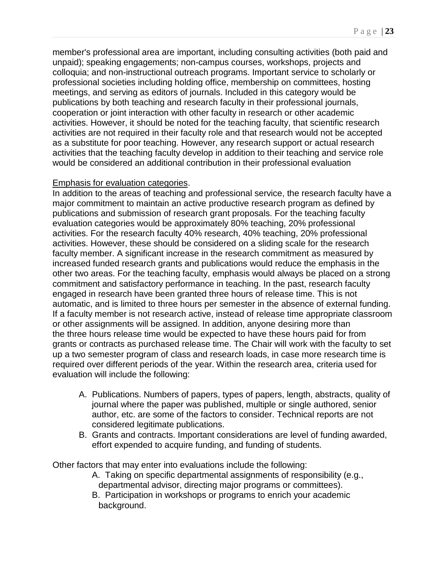member's professional area are important, including consulting activities (both paid and unpaid); speaking engagements; non-campus courses, workshops, projects and colloquia; and non-instructional outreach programs. Important service to scholarly or professional societies including holding office, membership on committees, hosting meetings, and serving as editors of journals. Included in this category would be publications by both teaching and research faculty in their professional journals, cooperation or joint interaction with other faculty in research or other academic activities. However, it should be noted for the teaching faculty, that scientific research activities are not required in their faculty role and that research would not be accepted as a substitute for poor teaching. However, any research support or actual research activities that the teaching faculty develop in addition to their teaching and service role would be considered an additional contribution in their professional evaluation

#### Emphasis for evaluation categories.

In addition to the areas of teaching and professional service, the research faculty have a major commitment to maintain an active productive research program as defined by publications and submission of research grant proposals. For the teaching faculty evaluation categories would be approximately 80% teaching, 20% professional activities. For the research faculty 40% research, 40% teaching, 20% professional activities. However, these should be considered on a sliding scale for the research faculty member. A significant increase in the research commitment as measured by increased funded research grants and publications would reduce the emphasis in the other two areas. For the teaching faculty, emphasis would always be placed on a strong commitment and satisfactory performance in teaching. In the past, research faculty engaged in research have been granted three hours of release time. This is not automatic, and is limited to three hours per semester in the absence of external funding. If a faculty member is not research active, instead of release time appropriate classroom or other assignments will be assigned. In addition, anyone desiring more than the three hours release time would be expected to have these hours paid for from grants or contracts as purchased release time. The Chair will work with the faculty to set up a two semester program of class and research loads, in case more research time is required over different periods of the year. Within the research area, criteria used for evaluation will include the following:

- A. Publications. Numbers of papers, types of papers, length, abstracts, quality of journal where the paper was published, multiple or single authored, senior author, etc. are some of the factors to consider. Technical reports are not considered legitimate publications.
- B. Grants and contracts. Important considerations are level of funding awarded, effort expended to acquire funding, and funding of students.

Other factors that may enter into evaluations include the following:

- A. Taking on specific departmental assignments of responsibility (e.g., departmental advisor, directing major programs or committees).
- B. Participation in workshops or programs to enrich your academic background.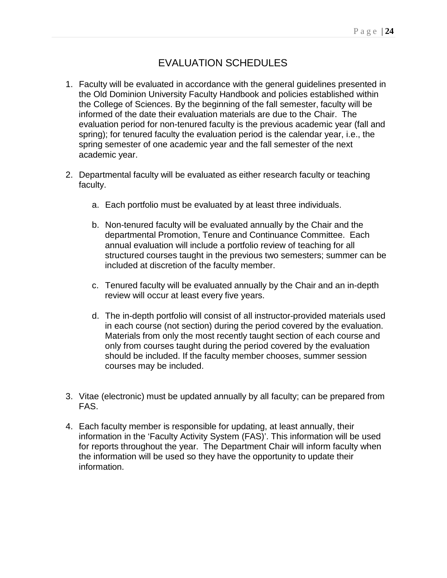# EVALUATION SCHEDULES

- 1. Faculty will be evaluated in accordance with the general guidelines presented in the Old Dominion University Faculty Handbook and policies established within the College of Sciences. By the beginning of the fall semester, faculty will be informed of the date their evaluation materials are due to the Chair. The evaluation period for non-tenured faculty is the previous academic year (fall and spring); for tenured faculty the evaluation period is the calendar year, i.e., the spring semester of one academic year and the fall semester of the next academic year.
- 2. Departmental faculty will be evaluated as either research faculty or teaching faculty.
	- a. Each portfolio must be evaluated by at least three individuals.
	- b. Non-tenured faculty will be evaluated annually by the Chair and the departmental Promotion, Tenure and Continuance Committee. Each annual evaluation will include a portfolio review of teaching for all structured courses taught in the previous two semesters; summer can be included at discretion of the faculty member.
	- c. Tenured faculty will be evaluated annually by the Chair and an in-depth review will occur at least every five years.
	- d. The in-depth portfolio will consist of all instructor-provided materials used in each course (not section) during the period covered by the evaluation. Materials from only the most recently taught section of each course and only from courses taught during the period covered by the evaluation should be included. If the faculty member chooses, summer session courses may be included.
- 3. Vitae (electronic) must be updated annually by all faculty; can be prepared from FAS.
- 4. Each faculty member is responsible for updating, at least annually, their information in the 'Faculty Activity System (FAS)'. This information will be used for reports throughout the year. The Department Chair will inform faculty when the information will be used so they have the opportunity to update their information.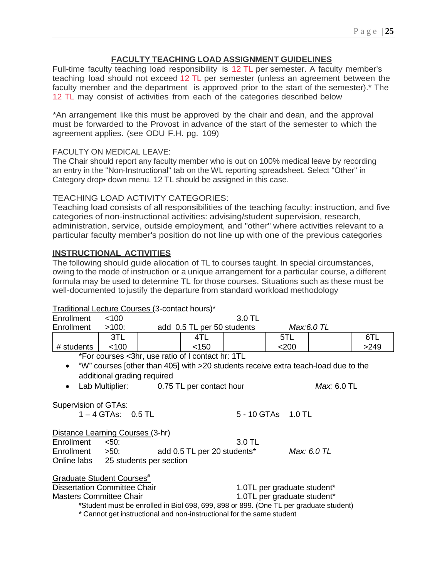#### **FACULTY TEACHING LOAD ASSIGNMENT GUIDELINES**

Full-time faculty teaching load responsibility is 12 TL per semester. A faculty member's teaching load should not exceed 12 TL per semester (unless an agreement between the faculty member and the department is approved prior to the start of the semester).<sup>\*</sup> The 12 TL may consist of activities from each of the categories described below

\*An arrangement like this must be approved by the chair and dean, and the approval must be forwarded to the Provost in advance of the start of the semester to which the agreement applies. (see ODU F.H. pg. 109)

#### FACULTY ON MEDICAL LEAVE:

The Chair should report any faculty member who is out on 100% medical leave by recording an entry in the ''Non-Instructional" tab on the WL reporting spreadsheet. Select "Other" in Category drop• down menu. 12 TL should be assigned in this case.

#### TEACHING LOAD ACTIVITY CATEGORIES:

Teaching load consists of all responsibilities of the teaching faculty: instruction, and five categories of non-instructional activities: advising/student supervision, research, administration, service, outside employment, and "other" where activities relevant to a particular faculty member's position do not line up with one of the previous categories

#### **INSTRUCTIONAL ACTIVITIES**

The following should guide allocation of TL to courses taught. In special circumstances, owing to the mode of instruction or a unique arrangement for a particular course, a different formula may be used to determine TL for those courses. Situations such as these must be well-documented tojustify the departure from standard workload methodology

#### Traditional Lecture Courses (3-contact hours)\*

| Enrollment                                                                                      | < 100                  |                                          |                            | 3.0 TL                      |                             |             |      |
|-------------------------------------------------------------------------------------------------|------------------------|------------------------------------------|----------------------------|-----------------------------|-----------------------------|-------------|------|
| Enrollment                                                                                      | $>100$ :               |                                          | add 0.5 TL per 50 students |                             |                             | Max:6.0 TL  |      |
|                                                                                                 | 3TL                    |                                          | 4TL                        |                             | 5TL                         |             | 6TL  |
| # students                                                                                      | < 100                  |                                          | < 150                      |                             | $<$ 200                     |             | >249 |
| *For courses <3hr, use ratio of I contact hr: 1TL                                               |                        |                                          |                            |                             |                             |             |      |
| "W" courses [other than 405] with >20 students receive extra teach-load due to the<br>$\bullet$ |                        |                                          |                            |                             |                             |             |      |
| additional grading required                                                                     |                        |                                          |                            |                             |                             |             |      |
| $\bullet$                                                                                       |                        | Lab Multiplier: 0.75 TL per contact hour |                            |                             |                             | Max: 6.0 TL |      |
|                                                                                                 |                        |                                          |                            |                             |                             |             |      |
| Supervision of GTAs:                                                                            |                        |                                          |                            |                             |                             |             |      |
|                                                                                                 | $1 - 4$ GTAs: $0.5$ TL |                                          |                            |                             | 5 - 10 GTAs  1.0 TL         |             |      |
|                                                                                                 |                        |                                          |                            |                             |                             |             |      |
| Distance Learning Courses (3-hr)                                                                |                        |                                          |                            |                             |                             |             |      |
| Enrollment                                                                                      | $< 50$ :               |                                          |                            | 3.0 TL                      |                             |             |      |
| Enrollment                                                                                      | >50:                   |                                          |                            | add 0.5 TL per 20 students* |                             | Max: 6.0 TL |      |
| Online labs 25 students per section                                                             |                        |                                          |                            |                             |                             |             |      |
|                                                                                                 |                        |                                          |                            |                             |                             |             |      |
| Graduate Student Courses <sup>#</sup>                                                           |                        |                                          |                            |                             |                             |             |      |
| <b>Dissertation Committee Chair</b>                                                             |                        |                                          |                            |                             | 1.0TL per graduate student* |             |      |
| <b>Masters Committee Chair</b>                                                                  |                        |                                          |                            |                             | 1.0TL per graduate student* |             |      |
| #Student must be enrolled in Biol 698, 699, 898 or 899. (One TL per graduate student)           |                        |                                          |                            |                             |                             |             |      |
| * Cannot get instructional and non-instructional for the same student                           |                        |                                          |                            |                             |                             |             |      |